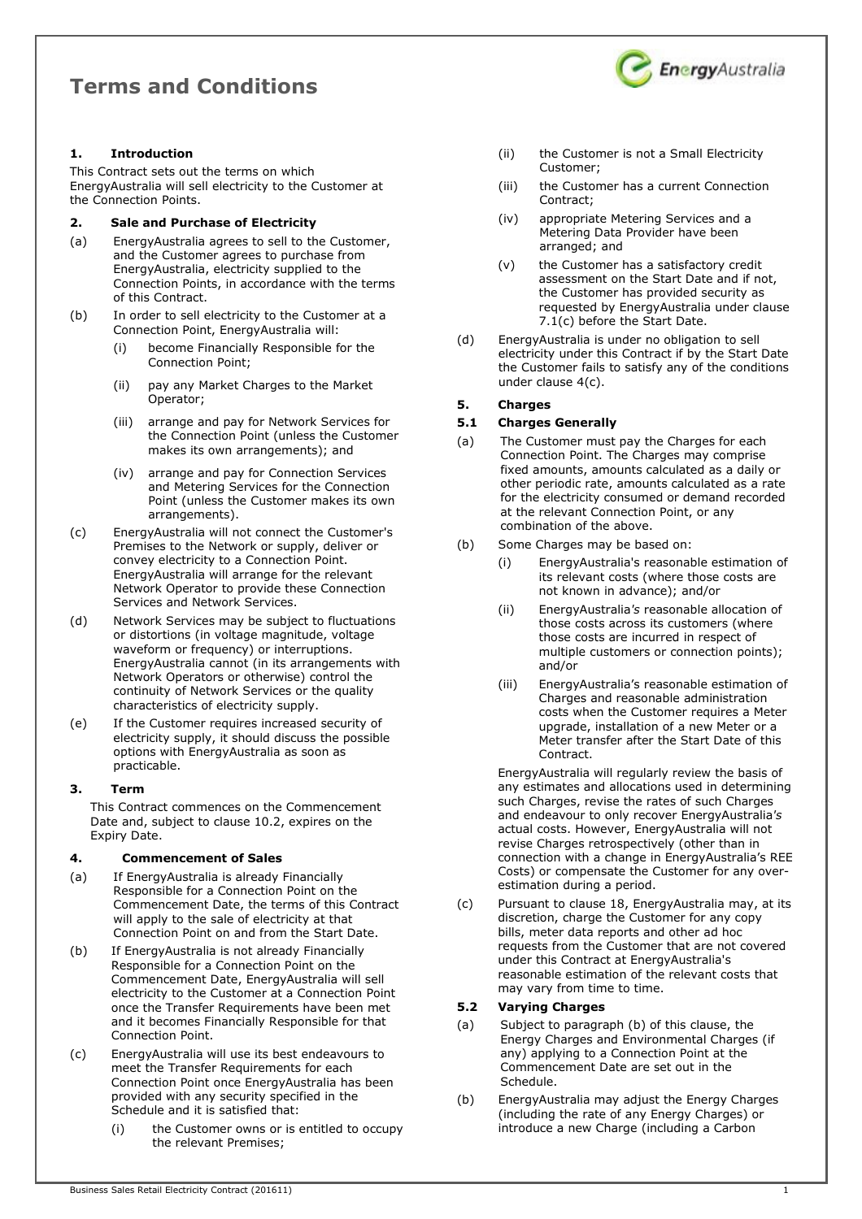# Terms and Conditions



## 1. Introduction

This Contract sets out the terms on which EnergyAustralia will sell electricity to the Customer at the Connection Points.

## 2. Sale and Purchase of Electricity

- (a) EnergyAustralia agrees to sell to the Customer, and the Customer agrees to purchase from EnergyAustralia, electricity supplied to the Connection Points, in accordance with the terms of this Contract.
- (b) In order to sell electricity to the Customer at a Connection Point, EnergyAustralia will:
	- become Financially Responsible for the Connection Point;
	- (ii) pay any Market Charges to the Market Operator;
	- (iii) arrange and pay for Network Services for the Connection Point (unless the Customer makes its own arrangements); and
	- (iv) arrange and pay for Connection Services and Metering Services for the Connection Point (unless the Customer makes its own arrangements).
- (c) EnergyAustralia will not connect the Customer's Premises to the Network or supply, deliver or convey electricity to a Connection Point. EnergyAustralia will arrange for the relevant Network Operator to provide these Connection Services and Network Services.
- (d) Network Services may be subject to fluctuations or distortions (in voltage magnitude, voltage waveform or frequency) or interruptions. EnergyAustralia cannot (in its arrangements with Network Operators or otherwise) control the continuity of Network Services or the quality characteristics of electricity supply.
- (e) If the Customer requires increased security of electricity supply, it should discuss the possible options with EnergyAustralia as soon as practicable.

#### 3. Term

This Contract commences on the Commencement Date and, subject to clause 10.2, expires on the Expiry Date.

#### 4. Commencement of Sales

- (a) If EnergyAustralia is already Financially Responsible for a Connection Point on the Commencement Date, the terms of this Contract will apply to the sale of electricity at that Connection Point on and from the Start Date.
- (b) If EnergyAustralia is not already Financially Responsible for a Connection Point on the Commencement Date, EnergyAustralia will sell electricity to the Customer at a Connection Point once the Transfer Requirements have been met and it becomes Financially Responsible for that Connection Point.
- (c) EnergyAustralia will use its best endeavours to meet the Transfer Requirements for each Connection Point once EnergyAustralia has been provided with any security specified in the Schedule and it is satisfied that:
	- (i) the Customer owns or is entitled to occupy the relevant Premises;
- (ii) the Customer is not a Small Electricity Customer;
- (iii) the Customer has a current Connection Contract;
- (iv) appropriate Metering Services and a Metering Data Provider have been arranged; and
- (v) the Customer has a satisfactory credit assessment on the Start Date and if not, the Customer has provided security as requested by EnergyAustralia under clause 7.1(c) before the Start Date.
- (d) EnergyAustralia is under no obligation to sell electricity under this Contract if by the Start Date the Customer fails to satisfy any of the conditions under clause 4(c).

## 5. Charges

#### 5.1 Charges Generally

- (a) The Customer must pay the Charges for each Connection Point. The Charges may comprise fixed amounts, amounts calculated as a daily or other periodic rate, amounts calculated as a rate for the electricity consumed or demand recorded at the relevant Connection Point, or any combination of the above.
- (b) Some Charges may be based on:
	- (i) EnergyAustralia's reasonable estimation of its relevant costs (where those costs are not known in advance); and/or
	- (ii) EnergyAustralia's reasonable allocation of those costs across its customers (where those costs are incurred in respect of multiple customers or connection points); and/or
	- (iii) EnergyAustralia's reasonable estimation of Charges and reasonable administration costs when the Customer requires a Meter upgrade, installation of a new Meter or a Meter transfer after the Start Date of this Contract.

EnergyAustralia will regularly review the basis of any estimates and allocations used in determining such Charges, revise the rates of such Charges and endeavour to only recover EnergyAustralia's actual costs. However, EnergyAustralia will not revise Charges retrospectively (other than in connection with a change in EnergyAustralia's REE Costs) or compensate the Customer for any overestimation during a period.

(c) Pursuant to clause 18, EnergyAustralia may, at its discretion, charge the Customer for any copy bills, meter data reports and other ad hoc requests from the Customer that are not covered under this Contract at EnergyAustralia's reasonable estimation of the relevant costs that may vary from time to time.

#### 5.2 Varying Charges

- (a) Subject to paragraph (b) of this clause, the Energy Charges and Environmental Charges (if any) applying to a Connection Point at the Commencement Date are set out in the Schedule.
- (b) EnergyAustralia may adjust the Energy Charges (including the rate of any Energy Charges) or introduce a new Charge (including a Carbon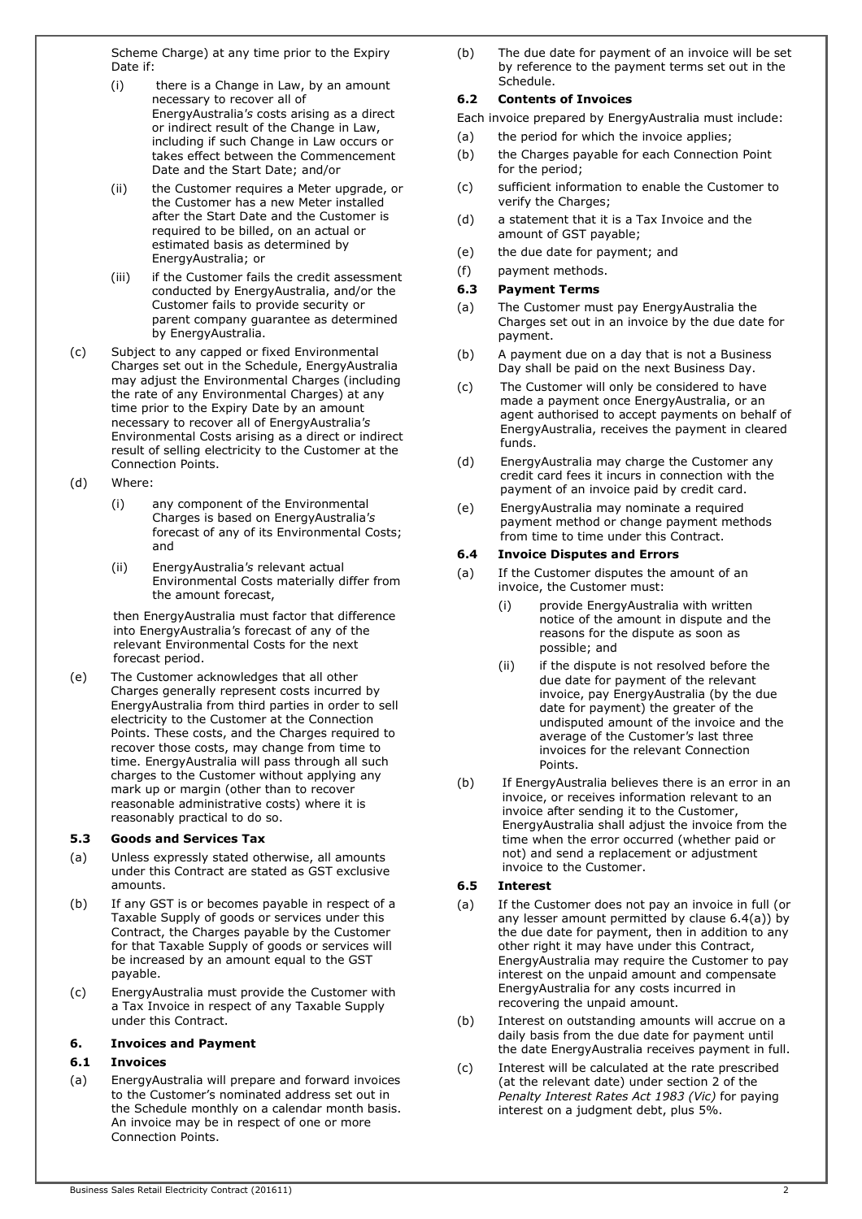Scheme Charge) at any time prior to the Expiry Date if:

- (i) there is a Change in Law, by an amount necessary to recover all of EnergyAustralia's costs arising as a direct or indirect result of the Change in Law, including if such Change in Law occurs or takes effect between the Commencement Date and the Start Date; and/or
- (ii) the Customer requires a Meter upgrade, or the Customer has a new Meter installed after the Start Date and the Customer is required to be billed, on an actual or estimated basis as determined by EnergyAustralia; or
- (iii) if the Customer fails the credit assessment conducted by EnergyAustralia, and/or the Customer fails to provide security or parent company guarantee as determined by EnergyAustralia.
- (c) Subject to any capped or fixed Environmental Charges set out in the Schedule, EnergyAustralia may adjust the Environmental Charges (including the rate of any Environmental Charges) at any time prior to the Expiry Date by an amount necessary to recover all of EnergyAustralia's Environmental Costs arising as a direct or indirect result of selling electricity to the Customer at the Connection Points.
- (d) Where:
	- (i) any component of the Environmental Charges is based on EnergyAustralia's forecast of any of its Environmental Costs; and
	- (ii) EnergyAustralia's relevant actual Environmental Costs materially differ from the amount forecast,

 then EnergyAustralia must factor that difference into EnergyAustralia's forecast of any of the relevant Environmental Costs for the next forecast period.

(e) The Customer acknowledges that all other Charges generally represent costs incurred by EnergyAustralia from third parties in order to sell electricity to the Customer at the Connection Points. These costs, and the Charges required to recover those costs, may change from time to time. EnergyAustralia will pass through all such charges to the Customer without applying any mark up or margin (other than to recover reasonable administrative costs) where it is reasonably practical to do so.

#### 5.3 Goods and Services Tax

- (a) Unless expressly stated otherwise, all amounts under this Contract are stated as GST exclusive amounts.
- (b) If any GST is or becomes payable in respect of a Taxable Supply of goods or services under this Contract, the Charges payable by the Customer for that Taxable Supply of goods or services will be increased by an amount equal to the GST payable.
- (c) EnergyAustralia must provide the Customer with a Tax Invoice in respect of any Taxable Supply under this Contract.

#### 6. Invoices and Payment

#### 6.1 Invoices

(a) EnergyAustralia will prepare and forward invoices to the Customer's nominated address set out in the Schedule monthly on a calendar month basis. An invoice may be in respect of one or more Connection Points.

(b) The due date for payment of an invoice will be set by reference to the payment terms set out in the Schedule.

#### 6.2 Contents of Invoices

- Each invoice prepared by EnergyAustralia must include:
- (a) the period for which the invoice applies;
- (b) the Charges payable for each Connection Point for the period;
- (c) sufficient information to enable the Customer to verify the Charges;
- (d) a statement that it is a Tax Invoice and the amount of GST payable;
- (e) the due date for payment; and

# (f) payment methods.

## 6.3 Payment Terms

- (a) The Customer must pay EnergyAustralia the Charges set out in an invoice by the due date for payment.
- (b) A payment due on a day that is not a Business Day shall be paid on the next Business Day.
- (c) The Customer will only be considered to have made a payment once EnergyAustralia, or an agent authorised to accept payments on behalf of EnergyAustralia, receives the payment in cleared funds.
- (d) EnergyAustralia may charge the Customer any credit card fees it incurs in connection with the payment of an invoice paid by credit card.
- (e) EnergyAustralia may nominate a required payment method or change payment methods from time to time under this Contract.

#### 6.4 Invoice Disputes and Errors

- (a) If the Customer disputes the amount of an invoice, the Customer must:
	- (i) provide EnergyAustralia with written notice of the amount in dispute and the reasons for the dispute as soon as possible; and
	- (ii) if the dispute is not resolved before the due date for payment of the relevant invoice, pay EnergyAustralia (by the due date for payment) the greater of the undisputed amount of the invoice and the average of the Customer's last three invoices for the relevant Connection **Points**
- (b) If EnergyAustralia believes there is an error in an invoice, or receives information relevant to an invoice after sending it to the Customer, EnergyAustralia shall adjust the invoice from the time when the error occurred (whether paid or not) and send a replacement or adjustment invoice to the Customer.

#### 6.5 Interest

- (a) If the Customer does not pay an invoice in full (or any lesser amount permitted by clause 6.4(a)) by the due date for payment, then in addition to any other right it may have under this Contract, EnergyAustralia may require the Customer to pay interest on the unpaid amount and compensate EnergyAustralia for any costs incurred in recovering the unpaid amount.
- (b) Interest on outstanding amounts will accrue on a daily basis from the due date for payment until the date EnergyAustralia receives payment in full.
- (c) Interest will be calculated at the rate prescribed (at the relevant date) under section 2 of the Penalty Interest Rates Act 1983 (Vic) for paying interest on a judgment debt, plus 5%.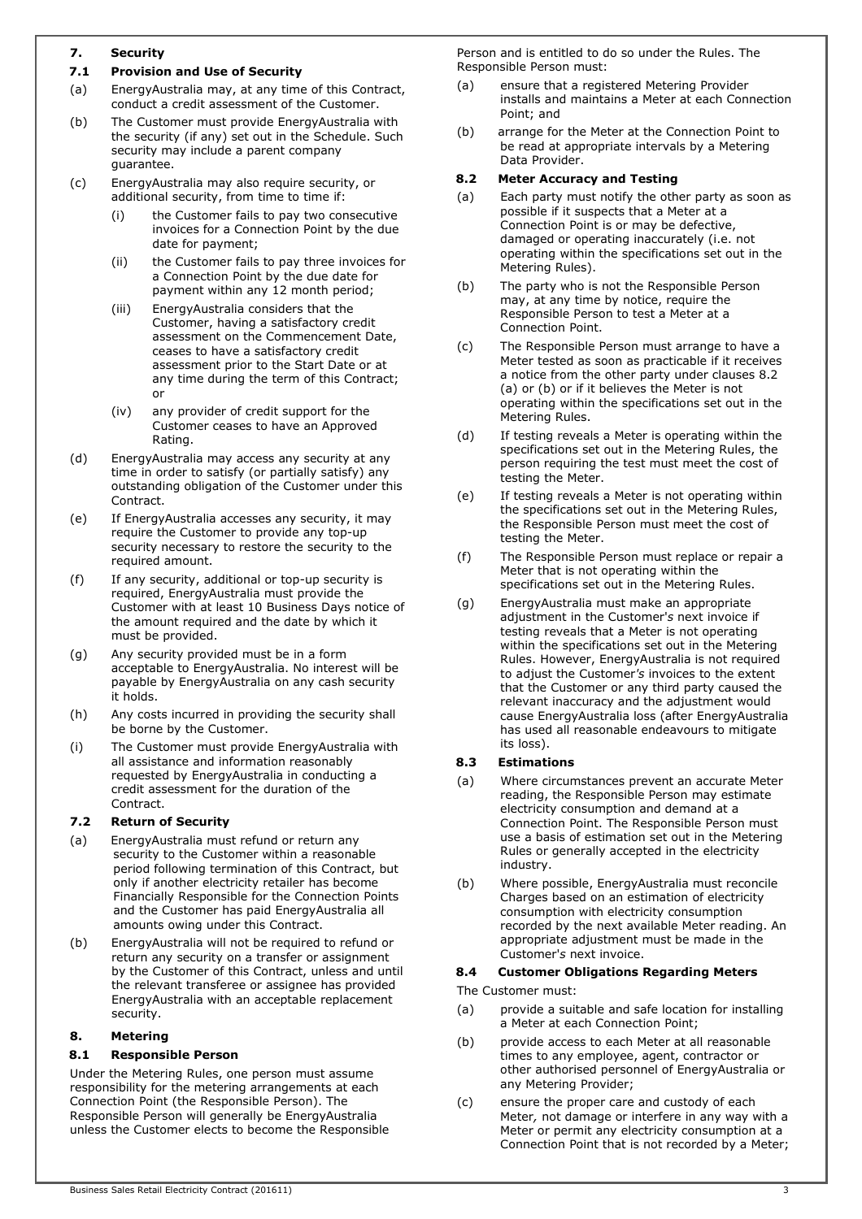## 7. Security

## 7.1 Provision and Use of Security

- (a) EnergyAustralia may, at any time of this Contract, conduct a credit assessment of the Customer.
- (b) The Customer must provide EnergyAustralia with the security (if any) set out in the Schedule. Such security may include a parent company guarantee.
- (c) EnergyAustralia may also require security, or additional security, from time to time if:
	- (i) the Customer fails to pay two consecutive invoices for a Connection Point by the due date for payment;
	- (ii) the Customer fails to pay three invoices for a Connection Point by the due date for payment within any 12 month period;
	- (iii) EnergyAustralia considers that the Customer, having a satisfactory credit assessment on the Commencement Date, ceases to have a satisfactory credit assessment prior to the Start Date or at any time during the term of this Contract; or
	- (iv) any provider of credit support for the Customer ceases to have an Approved Rating.
- (d) EnergyAustralia may access any security at any time in order to satisfy (or partially satisfy) any outstanding obligation of the Customer under this Contract.
- (e) If EnergyAustralia accesses any security, it may require the Customer to provide any top-up security necessary to restore the security to the required amount.
- (f) If any security, additional or top-up security is required, EnergyAustralia must provide the Customer with at least 10 Business Days notice of the amount required and the date by which it must be provided.
- (g) Any security provided must be in a form acceptable to EnergyAustralia. No interest will be payable by EnergyAustralia on any cash security it holds.
- (h) Any costs incurred in providing the security shall be borne by the Customer.
- (i) The Customer must provide EnergyAustralia with all assistance and information reasonably requested by EnergyAustralia in conducting a credit assessment for the duration of the Contract.

#### 7.2 Return of Security

- (a) EnergyAustralia must refund or return any security to the Customer within a reasonable period following termination of this Contract, but only if another electricity retailer has become Financially Responsible for the Connection Points and the Customer has paid EnergyAustralia all amounts owing under this Contract.
- (b) EnergyAustralia will not be required to refund or return any security on a transfer or assignment by the Customer of this Contract, unless and until the relevant transferee or assignee has provided EnergyAustralia with an acceptable replacement security.

## 8. Metering

## 8.1 Responsible Person

Under the Metering Rules, one person must assume responsibility for the metering arrangements at each Connection Point (the Responsible Person). The Responsible Person will generally be EnergyAustralia unless the Customer elects to become the Responsible Person and is entitled to do so under the Rules. The Responsible Person must:

- (a) ensure that a registered Metering Provider installs and maintains a Meter at each Connection Point; and
- (b) arrange for the Meter at the Connection Point to be read at appropriate intervals by a Metering Data Provider.

#### 8.2 Meter Accuracy and Testing

- (a) Each party must notify the other party as soon as possible if it suspects that a Meter at a Connection Point is or may be defective, damaged or operating inaccurately (i.e. not operating within the specifications set out in the Metering Rules).
- (b) The party who is not the Responsible Person may, at any time by notice, require the Responsible Person to test a Meter at a Connection Point.
- (c) The Responsible Person must arrange to have a Meter tested as soon as practicable if it receives a notice from the other party under clauses 8.2 (a) or (b) or if it believes the Meter is not operating within the specifications set out in the Metering Rules.
- (d) If testing reveals a Meter is operating within the specifications set out in the Metering Rules, the person requiring the test must meet the cost of testing the Meter.
- (e) If testing reveals a Meter is not operating within the specifications set out in the Metering Rules, the Responsible Person must meet the cost of testing the Meter.
- (f) The Responsible Person must replace or repair a Meter that is not operating within the specifications set out in the Metering Rules.
- (g) EnergyAustralia must make an appropriate adjustment in the Customer's next invoice if testing reveals that a Meter is not operating within the specifications set out in the Metering Rules. However, EnergyAustralia is not required to adjust the Customer's invoices to the extent that the Customer or any third party caused the relevant inaccuracy and the adjustment would cause EnergyAustralia loss (after EnergyAustralia has used all reasonable endeavours to mitigate its loss).

#### 8.3 Estimations

- (a) Where circumstances prevent an accurate Meter reading, the Responsible Person may estimate electricity consumption and demand at a Connection Point. The Responsible Person must use a basis of estimation set out in the Metering Rules or generally accepted in the electricity industry.
- (b) Where possible, EnergyAustralia must reconcile Charges based on an estimation of electricity consumption with electricity consumption recorded by the next available Meter reading. An appropriate adjustment must be made in the Customer's next invoice.

#### 8.4 Customer Obligations Regarding Meters

The Customer must:

- (a) provide a suitable and safe location for installing a Meter at each Connection Point;
- (b) provide access to each Meter at all reasonable times to any employee, agent, contractor or other authorised personnel of EnergyAustralia or any Metering Provider;
- (c) ensure the proper care and custody of each Meter, not damage or interfere in any way with a Meter or permit any electricity consumption at a Connection Point that is not recorded by a Meter;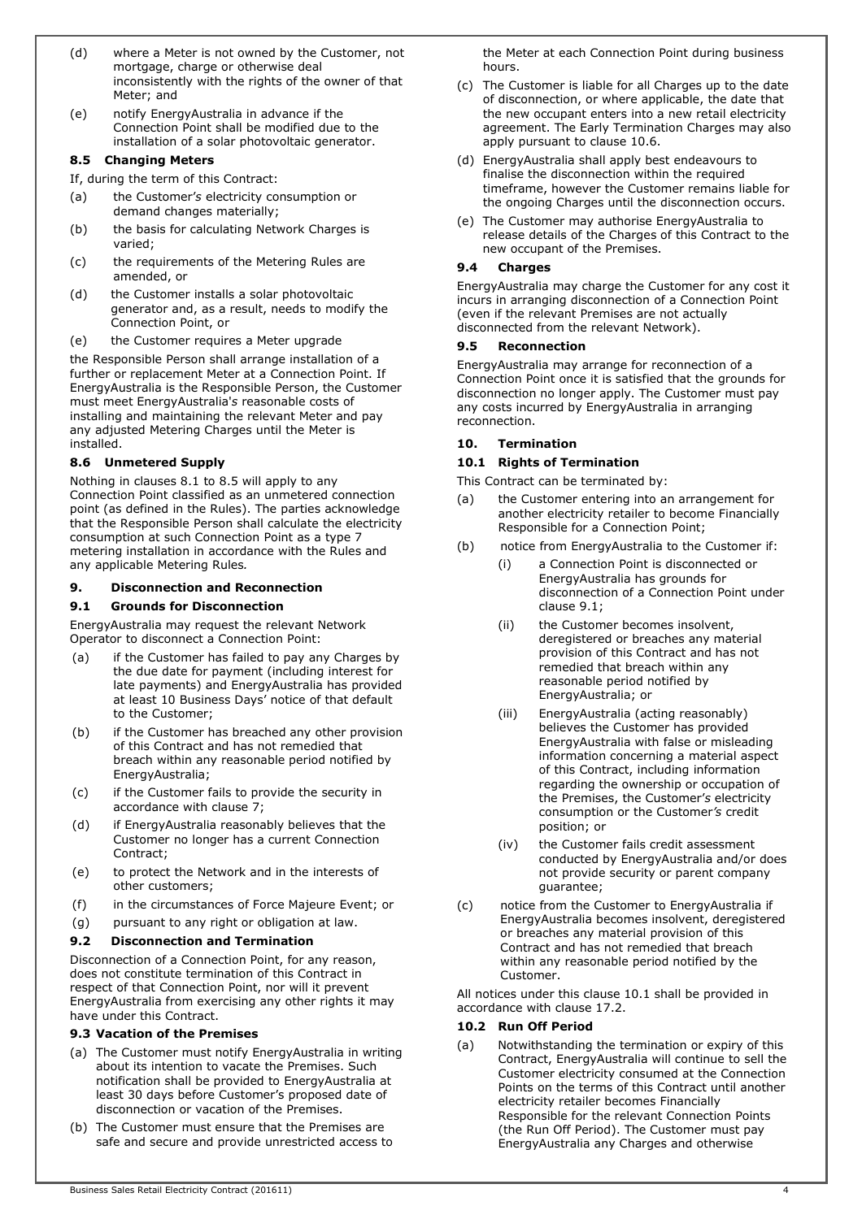- (d) where a Meter is not owned by the Customer, not mortgage, charge or otherwise deal inconsistently with the rights of the owner of that Meter; and
- (e) notify EnergyAustralia in advance if the Connection Point shall be modified due to the installation of a solar photovoltaic generator.

#### 8.5 Changing Meters

If, during the term of this Contract:

- (a) the Customer's electricity consumption or demand changes materially;
- (b) the basis for calculating Network Charges is varied;
- (c) the requirements of the Metering Rules are amended, or
- (d) the Customer installs a solar photovoltaic generator and, as a result, needs to modify the Connection Point, or
- (e) the Customer requires a Meter upgrade

the Responsible Person shall arrange installation of a further or replacement Meter at a Connection Point. If EnergyAustralia is the Responsible Person, the Customer must meet EnergyAustralia's reasonable costs of installing and maintaining the relevant Meter and pay any adjusted Metering Charges until the Meter is installed.

## 8.6 Unmetered Supply

Nothing in clauses 8.1 to 8.5 will apply to any Connection Point classified as an unmetered connection point (as defined in the Rules). The parties acknowledge that the Responsible Person shall calculate the electricity consumption at such Connection Point as a type 7 metering installation in accordance with the Rules and any applicable Metering Rules.

## 9. Disconnection and Reconnection

#### 9.1 Grounds for Disconnection

EnergyAustralia may request the relevant Network Operator to disconnect a Connection Point:

- (a) if the Customer has failed to pay any Charges by the due date for payment (including interest for late payments) and EnergyAustralia has provided at least 10 Business Days' notice of that default to the Customer;
- (b) if the Customer has breached any other provision of this Contract and has not remedied that breach within any reasonable period notified by EnergyAustralia;
- (c) if the Customer fails to provide the security in accordance with clause 7;
- (d) if EnergyAustralia reasonably believes that the Customer no longer has a current Connection Contract;
- (e) to protect the Network and in the interests of other customers;
- (f) in the circumstances of Force Majeure Event; or
- (g) pursuant to any right or obligation at law.

## 9.2 Disconnection and Termination

Disconnection of a Connection Point, for any reason, does not constitute termination of this Contract in respect of that Connection Point, nor will it prevent EnergyAustralia from exercising any other rights it may have under this Contract.

#### 9.3 Vacation of the Premises

- (a) The Customer must notify EnergyAustralia in writing about its intention to vacate the Premises. Such notification shall be provided to EnergyAustralia at least 30 days before Customer's proposed date of disconnection or vacation of the Premises.
- (b) The Customer must ensure that the Premises are safe and secure and provide unrestricted access to

the Meter at each Connection Point during business hours.

- (c) The Customer is liable for all Charges up to the date of disconnection, or where applicable, the date that the new occupant enters into a new retail electricity agreement. The Early Termination Charges may also apply pursuant to clause 10.6.
- (d) EnergyAustralia shall apply best endeavours to finalise the disconnection within the required timeframe, however the Customer remains liable for the ongoing Charges until the disconnection occurs.
- (e) The Customer may authorise EnergyAustralia to release details of the Charges of this Contract to the new occupant of the Premises.

## 9.4 Charges

EnergyAustralia may charge the Customer for any cost it incurs in arranging disconnection of a Connection Point (even if the relevant Premises are not actually disconnected from the relevant Network).

#### 9.5 Reconnection

EnergyAustralia may arrange for reconnection of a Connection Point once it is satisfied that the grounds for disconnection no longer apply. The Customer must pay any costs incurred by EnergyAustralia in arranging reconnection.

## 10. Termination

## 10.1 Rights of Termination

This Contract can be terminated by:

- (a) the Customer entering into an arrangement for another electricity retailer to become Financially Responsible for a Connection Point;
- (b) notice from EnergyAustralia to the Customer if:
	- (i) a Connection Point is disconnected or EnergyAustralia has grounds for disconnection of a Connection Point under clause 9.1;
	- (ii) the Customer becomes insolvent, deregistered or breaches any material provision of this Contract and has not remedied that breach within any reasonable period notified by EnergyAustralia; or
	- (iii) EnergyAustralia (acting reasonably) believes the Customer has provided EnergyAustralia with false or misleading information concerning a material aspect of this Contract, including information regarding the ownership or occupation of the Premises, the Customer's electricity consumption or the Customer's credit position; or
	- (iv) the Customer fails credit assessment conducted by EnergyAustralia and/or does not provide security or parent company guarantee;
- (c) notice from the Customer to EnergyAustralia if EnergyAustralia becomes insolvent, deregistered or breaches any material provision of this Contract and has not remedied that breach within any reasonable period notified by the Customer.

All notices under this clause 10.1 shall be provided in accordance with clause 17.2.

#### 10.2 Run Off Period

(a) Notwithstanding the termination or expiry of this Contract, EnergyAustralia will continue to sell the Customer electricity consumed at the Connection Points on the terms of this Contract until another electricity retailer becomes Financially Responsible for the relevant Connection Points (the Run Off Period). The Customer must pay EnergyAustralia any Charges and otherwise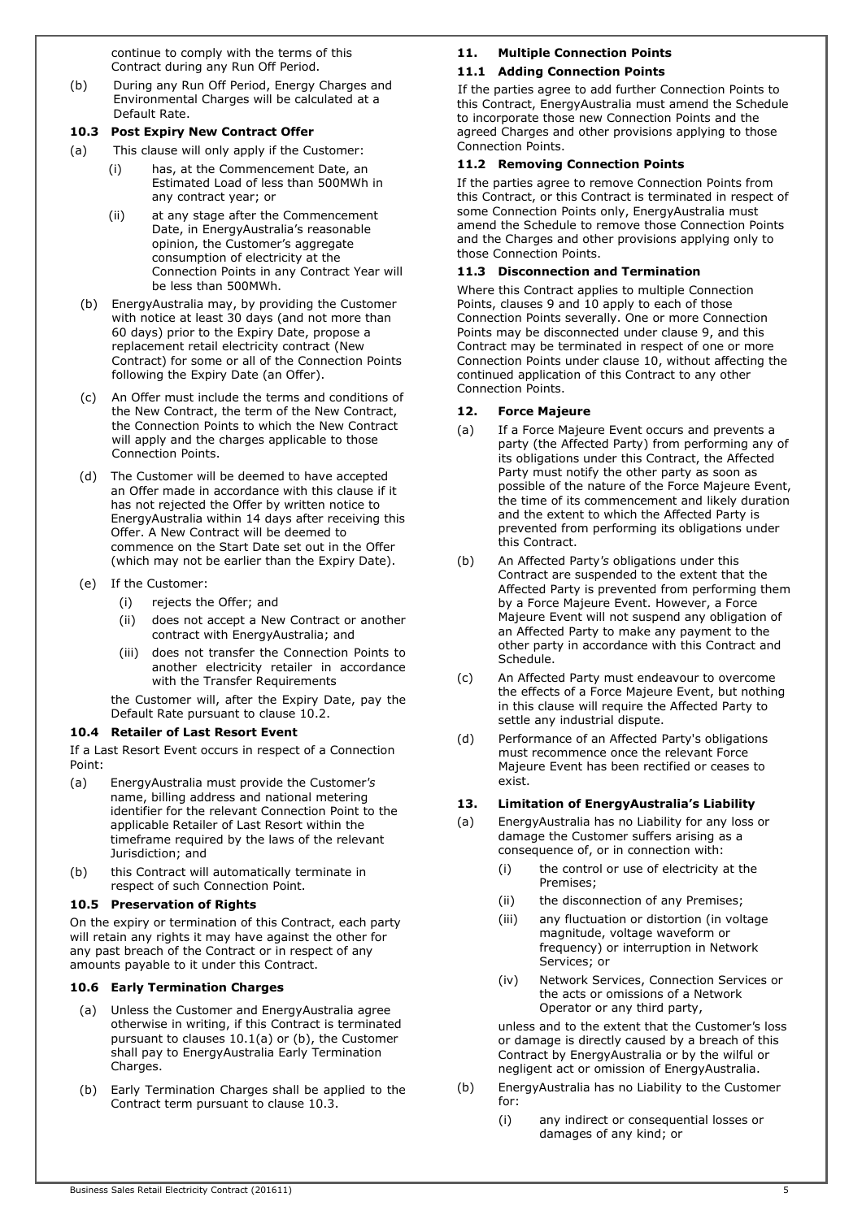continue to comply with the terms of this Contract during any Run Off Period.

(b) During any Run Off Period, Energy Charges and Environmental Charges will be calculated at a Default Rate.

#### 10.3 Post Expiry New Contract Offer

- (a) This clause will only apply if the Customer:
	- has, at the Commencement Date, an Estimated Load of less than 500MWh in any contract year; or
	- (ii) at any stage after the Commencement Date, in EnergyAustralia's reasonable opinion, the Customer's aggregate consumption of electricity at the Connection Points in any Contract Year will be less than 500MWh.
	- (b) EnergyAustralia may, by providing the Customer with notice at least 30 days (and not more than 60 days) prior to the Expiry Date, propose a replacement retail electricity contract (New Contract) for some or all of the Connection Points following the Expiry Date (an Offer).
	- (c) An Offer must include the terms and conditions of the New Contract, the term of the New Contract, the Connection Points to which the New Contract will apply and the charges applicable to those Connection Points.
	- (d) The Customer will be deemed to have accepted an Offer made in accordance with this clause if it has not rejected the Offer by written notice to EnergyAustralia within 14 days after receiving this Offer. A New Contract will be deemed to commence on the Start Date set out in the Offer (which may not be earlier than the Expiry Date).
	- (e) If the Customer:
		- (i) rejects the Offer; and
		- (ii) does not accept a New Contract or another contract with EnergyAustralia; and
		- (iii) does not transfer the Connection Points to another electricity retailer in accordance with the Transfer Requirements

the Customer will, after the Expiry Date, pay the Default Rate pursuant to clause 10.2.

## 10.4 Retailer of Last Resort Event

If a Last Resort Event occurs in respect of a Connection Point:

- (a) EnergyAustralia must provide the Customer's name, billing address and national metering identifier for the relevant Connection Point to the applicable Retailer of Last Resort within the timeframe required by the laws of the relevant Jurisdiction; and
- (b) this Contract will automatically terminate in respect of such Connection Point.

#### 10.5 Preservation of Rights

On the expiry or termination of this Contract, each party will retain any rights it may have against the other for any past breach of the Contract or in respect of any amounts payable to it under this Contract.

## 10.6 Early Termination Charges

- (a) Unless the Customer and EnergyAustralia agree otherwise in writing, if this Contract is terminated pursuant to clauses 10.1(a) or (b), the Customer shall pay to EnergyAustralia Early Termination Charges.
- (b) Early Termination Charges shall be applied to the Contract term pursuant to clause 10.3.

## 11. Multiple Connection Points

## 11.1 Adding Connection Points

If the parties agree to add further Connection Points to this Contract, EnergyAustralia must amend the Schedule to incorporate those new Connection Points and the agreed Charges and other provisions applying to those Connection Points.

## 11.2 Removing Connection Points

If the parties agree to remove Connection Points from this Contract, or this Contract is terminated in respect of some Connection Points only, EnergyAustralia must amend the Schedule to remove those Connection Points and the Charges and other provisions applying only to those Connection Points.

#### 11.3 Disconnection and Termination

Where this Contract applies to multiple Connection Points, clauses 9 and 10 apply to each of those Connection Points severally. One or more Connection Points may be disconnected under clause 9, and this Contract may be terminated in respect of one or more Connection Points under clause 10, without affecting the continued application of this Contract to any other Connection Points.

#### 12. Force Majeure

- (a) If a Force Majeure Event occurs and prevents a party (the Affected Party) from performing any of its obligations under this Contract, the Affected Party must notify the other party as soon as possible of the nature of the Force Majeure Event, the time of its commencement and likely duration and the extent to which the Affected Party is prevented from performing its obligations under this Contract.
- (b) An Affected Party's obligations under this Contract are suspended to the extent that the Affected Party is prevented from performing them by a Force Majeure Event. However, a Force Majeure Event will not suspend any obligation of an Affected Party to make any payment to the other party in accordance with this Contract and Schedule.
- (c) An Affected Party must endeavour to overcome the effects of a Force Majeure Event, but nothing in this clause will require the Affected Party to settle any industrial dispute.
- (d) Performance of an Affected Party's obligations must recommence once the relevant Force Majeure Event has been rectified or ceases to exist.

## 13. Limitation of EnergyAustralia's Liability

- (a) EnergyAustralia has no Liability for any loss or damage the Customer suffers arising as a consequence of, or in connection with:
	- (i) the control or use of electricity at the Premises;
	- (ii) the disconnection of any Premises;
	- (iii) any fluctuation or distortion (in voltage magnitude, voltage waveform or frequency) or interruption in Network Services; or
	- (iv) Network Services, Connection Services or the acts or omissions of a Network Operator or any third party,

unless and to the extent that the Customer's loss or damage is directly caused by a breach of this Contract by EnergyAustralia or by the wilful or negligent act or omission of EnergyAustralia.

- (b) EnergyAustralia has no Liability to the Customer for:
	- (i) any indirect or consequential losses or damages of any kind; or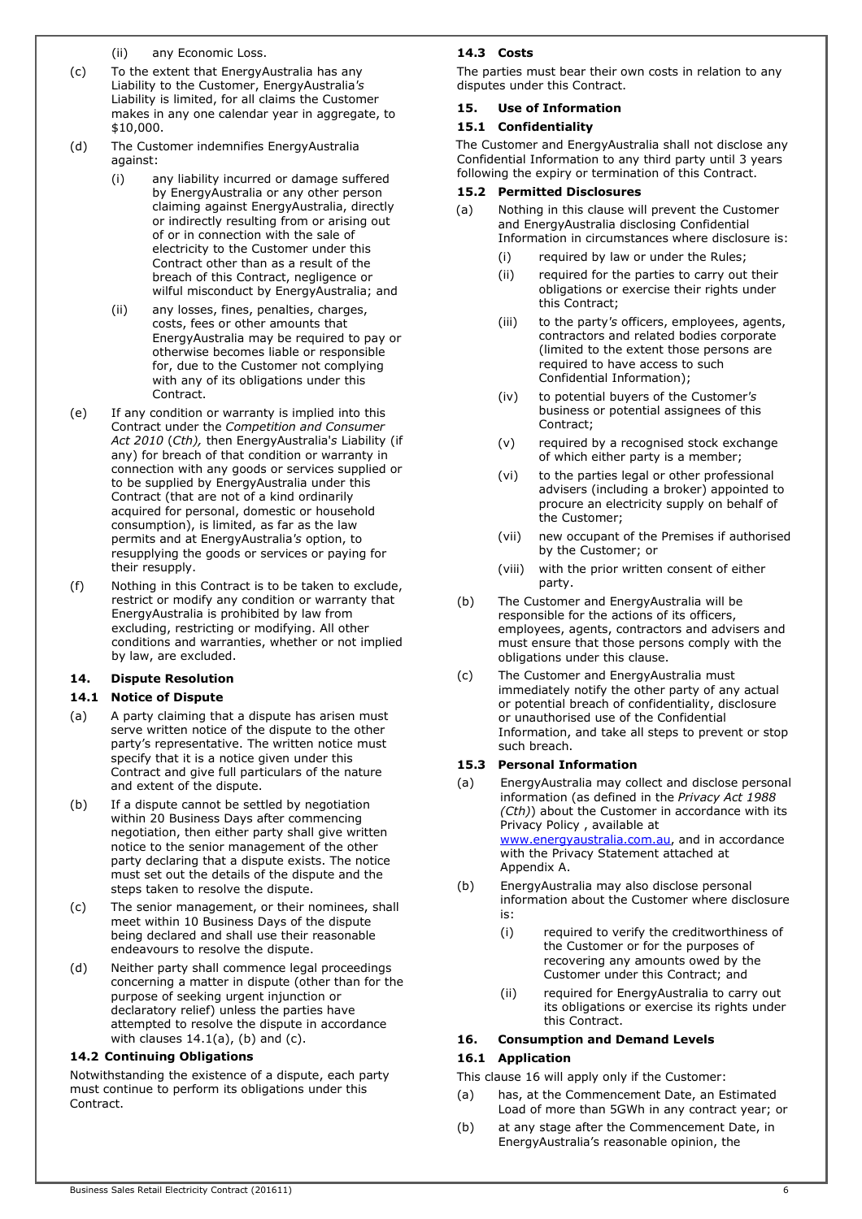(ii) any Economic Loss.

- (c) To the extent that EnergyAustralia has any Liability to the Customer, EnergyAustralia's Liability is limited, for all claims the Customer makes in any one calendar year in aggregate, to \$10,000.
- (d) The Customer indemnifies EnergyAustralia against:
	- (i) any liability incurred or damage suffered by EnergyAustralia or any other person claiming against EnergyAustralia, directly or indirectly resulting from or arising out of or in connection with the sale of electricity to the Customer under this Contract other than as a result of the breach of this Contract, negligence or wilful misconduct by EnergyAustralia; and
	- (ii) any losses, fines, penalties, charges, costs, fees or other amounts that EnergyAustralia may be required to pay or otherwise becomes liable or responsible for, due to the Customer not complying with any of its obligations under this Contract.
- (e) If any condition or warranty is implied into this Contract under the Competition and Consumer Act 2010 (Cth), then EnergyAustralia's Liability (if any) for breach of that condition or warranty in connection with any goods or services supplied or to be supplied by EnergyAustralia under this Contract (that are not of a kind ordinarily acquired for personal, domestic or household consumption), is limited, as far as the law permits and at EnergyAustralia's option, to resupplying the goods or services or paying for their resupply.
- (f) Nothing in this Contract is to be taken to exclude, restrict or modify any condition or warranty that EnergyAustralia is prohibited by law from excluding, restricting or modifying. All other conditions and warranties, whether or not implied by law, are excluded.

## 14. Dispute Resolution

## 14.1 Notice of Dispute

- (a) A party claiming that a dispute has arisen must serve written notice of the dispute to the other party's representative. The written notice must specify that it is a notice given under this Contract and give full particulars of the nature and extent of the dispute.
- (b) If a dispute cannot be settled by negotiation within 20 Business Days after commencing negotiation, then either party shall give written notice to the senior management of the other party declaring that a dispute exists. The notice must set out the details of the dispute and the steps taken to resolve the dispute.
- (c) The senior management, or their nominees, shall meet within 10 Business Days of the dispute being declared and shall use their reasonable endeavours to resolve the dispute.
- (d) Neither party shall commence legal proceedings concerning a matter in dispute (other than for the purpose of seeking urgent injunction or declaratory relief) unless the parties have attempted to resolve the dispute in accordance with clauses  $14.1(a)$ , (b) and (c).

## 14.2 Continuing Obligations

Notwithstanding the existence of a dispute, each party must continue to perform its obligations under this Contract.

## 14.3 Costs

The parties must bear their own costs in relation to any disputes under this Contract.

## 15. Use of Information

## 15.1 Confidentiality

The Customer and EnergyAustralia shall not disclose any Confidential Information to any third party until 3 years following the expiry or termination of this Contract.

## 15.2 Permitted Disclosures

- (a) Nothing in this clause will prevent the Customer and EnergyAustralia disclosing Confidential Information in circumstances where disclosure is:
	- (i) required by law or under the Rules;
	- (ii) required for the parties to carry out their obligations or exercise their rights under this Contract;
	- (iii) to the party's officers, employees, agents, contractors and related bodies corporate (limited to the extent those persons are required to have access to such Confidential Information);
	- (iv) to potential buyers of the Customer's business or potential assignees of this Contract;
	- (v) required by a recognised stock exchange of which either party is a member;
	- (vi) to the parties legal or other professional advisers (including a broker) appointed to procure an electricity supply on behalf of the Customer;
	- (vii) new occupant of the Premises if authorised by the Customer; or
	- (viii) with the prior written consent of either party.
- (b) The Customer and EnergyAustralia will be responsible for the actions of its officers, employees, agents, contractors and advisers and must ensure that those persons comply with the obligations under this clause.
- (c) The Customer and EnergyAustralia must immediately notify the other party of any actual or potential breach of confidentiality, disclosure or unauthorised use of the Confidential Information, and take all steps to prevent or stop such breach.

## 15.3 Personal Information

- (a) EnergyAustralia may collect and disclose personal information (as defined in the Privacy Act 1988 (Cth)) about the Customer in accordance with its Privacy Policy , available at www.energyaustralia.com.au, and in accordance with the Privacy Statement attached at Appendix A.
- (b) EnergyAustralia may also disclose personal information about the Customer where disclosure is:
	- (i) required to verify the creditworthiness of the Customer or for the purposes of recovering any amounts owed by the Customer under this Contract; and
	- (ii) required for EnergyAustralia to carry out its obligations or exercise its rights under this Contract.

## 16. Consumption and Demand Levels

## 16.1 Application

This clause 16 will apply only if the Customer:

- (a) has, at the Commencement Date, an Estimated Load of more than 5GWh in any contract year; or
- (b) at any stage after the Commencement Date, in EnergyAustralia's reasonable opinion, the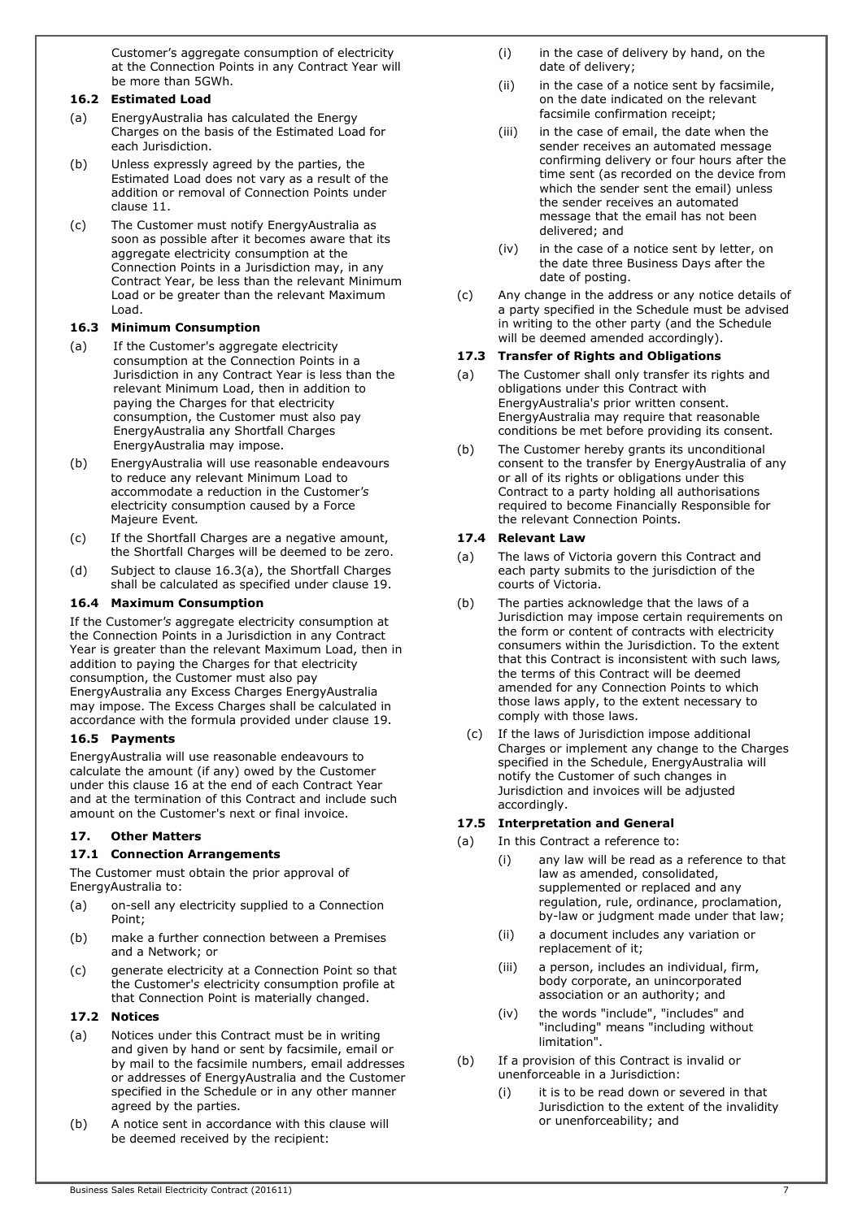Customer's aggregate consumption of electricity at the Connection Points in any Contract Year will be more than 5GWh.

## 16.2 Estimated Load

- (a) EnergyAustralia has calculated the Energy Charges on the basis of the Estimated Load for each Jurisdiction.
- (b) Unless expressly agreed by the parties, the Estimated Load does not vary as a result of the addition or removal of Connection Points under clause 11.
- (c) The Customer must notify EnergyAustralia as soon as possible after it becomes aware that its aggregate electricity consumption at the Connection Points in a Jurisdiction may, in any Contract Year, be less than the relevant Minimum Load or be greater than the relevant Maximum Load.

## 16.3 Minimum Consumption

- (a) If the Customer's aggregate electricity consumption at the Connection Points in a Jurisdiction in any Contract Year is less than the relevant Minimum Load, then in addition to paying the Charges for that electricity consumption, the Customer must also pay EnergyAustralia any Shortfall Charges EnergyAustralia may impose.
- (b) EnergyAustralia will use reasonable endeavours to reduce any relevant Minimum Load to accommodate a reduction in the Customer's electricity consumption caused by a Force Majeure Event.
- (c) If the Shortfall Charges are a negative amount, the Shortfall Charges will be deemed to be zero.
- (d) Subject to clause 16.3(a), the Shortfall Charges shall be calculated as specified under clause 19.

## 16.4 Maximum Consumption

If the Customer's aggregate electricity consumption at the Connection Points in a Jurisdiction in any Contract Year is greater than the relevant Maximum Load, then in addition to paying the Charges for that electricity consumption, the Customer must also pay EnergyAustralia any Excess Charges EnergyAustralia may impose. The Excess Charges shall be calculated in accordance with the formula provided under clause 19.

## 16.5 Payments

EnergyAustralia will use reasonable endeavours to calculate the amount (if any) owed by the Customer under this clause 16 at the end of each Contract Year and at the termination of this Contract and include such amount on the Customer's next or final invoice.

## 17. Other Matters

## 17.1 Connection Arrangements

The Customer must obtain the prior approval of EnergyAustralia to:

- (a) on-sell any electricity supplied to a Connection Point;
- (b) make a further connection between a Premises and a Network; or
- (c) generate electricity at a Connection Point so that the Customer's electricity consumption profile at that Connection Point is materially changed.

#### 17.2 Notices

- (a) Notices under this Contract must be in writing and given by hand or sent by facsimile, email or by mail to the facsimile numbers, email addresses or addresses of EnergyAustralia and the Customer specified in the Schedule or in any other manner agreed by the parties.
- (b) A notice sent in accordance with this clause will be deemed received by the recipient:
- (i) in the case of delivery by hand, on the date of delivery;
- (ii) in the case of a notice sent by facsimile, on the date indicated on the relevant facsimile confirmation receipt;
- (iii) in the case of email, the date when the sender receives an automated message confirming delivery or four hours after the time sent (as recorded on the device from which the sender sent the email) unless the sender receives an automated message that the email has not been delivered; and
- (iv) in the case of a notice sent by letter, on the date three Business Days after the date of posting.
- (c) Any change in the address or any notice details of a party specified in the Schedule must be advised in writing to the other party (and the Schedule will be deemed amended accordingly).

## 17.3 Transfer of Rights and Obligations

- (a) The Customer shall only transfer its rights and obligations under this Contract with EnergyAustralia's prior written consent. EnergyAustralia may require that reasonable conditions be met before providing its consent.
- (b) The Customer hereby grants its unconditional consent to the transfer by EnergyAustralia of any or all of its rights or obligations under this Contract to a party holding all authorisations required to become Financially Responsible for the relevant Connection Points.

## 17.4 Relevant Law

- (a) The laws of Victoria govern this Contract and each party submits to the jurisdiction of the courts of Victoria.
- (b) The parties acknowledge that the laws of a Jurisdiction may impose certain requirements on the form or content of contracts with electricity consumers within the Jurisdiction. To the extent that this Contract is inconsistent with such laws, the terms of this Contract will be deemed amended for any Connection Points to which those laws apply, to the extent necessary to comply with those laws.
	- (c) If the laws of Jurisdiction impose additional Charges or implement any change to the Charges specified in the Schedule, EnergyAustralia will notify the Customer of such changes in Jurisdiction and invoices will be adjusted accordingly.

#### 17.5 Interpretation and General

- (a) In this Contract a reference to:
	- (i) any law will be read as a reference to that law as amended, consolidated, supplemented or replaced and any regulation, rule, ordinance, proclamation, by-law or judgment made under that law;
	- (ii) a document includes any variation or replacement of it;
	- (iii) a person, includes an individual, firm, body corporate, an unincorporated association or an authority; and
	- (iv) the words "include", "includes" and "including" means "including without limitation".
- (b) If a provision of this Contract is invalid or unenforceable in a Jurisdiction:
	- (i) it is to be read down or severed in that Jurisdiction to the extent of the invalidity or unenforceability; and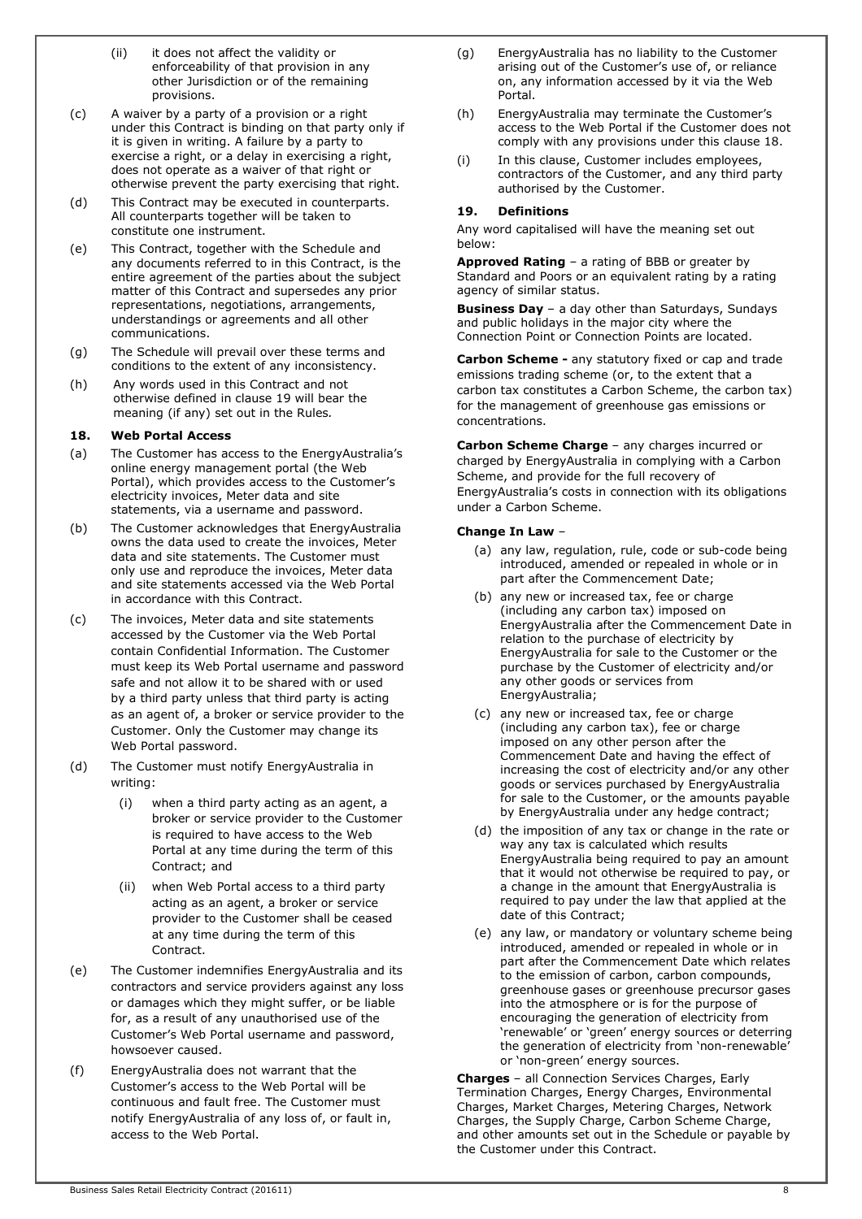- (ii) it does not affect the validity or enforceability of that provision in any other Jurisdiction or of the remaining provisions.
- (c) A waiver by a party of a provision or a right under this Contract is binding on that party only if it is given in writing. A failure by a party to exercise a right, or a delay in exercising a right, does not operate as a waiver of that right or otherwise prevent the party exercising that right.
- (d) This Contract may be executed in counterparts. All counterparts together will be taken to constitute one instrument.
- (e) This Contract, together with the Schedule and any documents referred to in this Contract, is the entire agreement of the parties about the subject matter of this Contract and supersedes any prior representations, negotiations, arrangements, understandings or agreements and all other communications.
- (g) The Schedule will prevail over these terms and conditions to the extent of any inconsistency.
- (h) Any words used in this Contract and not otherwise defined in clause 19 will bear the meaning (if any) set out in the Rules.

## 18. Web Portal Access

- (a) The Customer has access to the EnergyAustralia's online energy management portal (the Web Portal), which provides access to the Customer's electricity invoices, Meter data and site statements, via a username and password.
- (b) The Customer acknowledges that EnergyAustralia owns the data used to create the invoices, Meter data and site statements. The Customer must only use and reproduce the invoices, Meter data and site statements accessed via the Web Portal in accordance with this Contract.
- (c) The invoices, Meter data and site statements accessed by the Customer via the Web Portal contain Confidential Information. The Customer must keep its Web Portal username and password safe and not allow it to be shared with or used by a third party unless that third party is acting as an agent of, a broker or service provider to the Customer. Only the Customer may change its Web Portal password.
- (d) The Customer must notify EnergyAustralia in writing:
	- (i) when a third party acting as an agent, a broker or service provider to the Customer is required to have access to the Web Portal at any time during the term of this Contract; and
	- (ii) when Web Portal access to a third party acting as an agent, a broker or service provider to the Customer shall be ceased at any time during the term of this Contract.
- (e) The Customer indemnifies EnergyAustralia and its contractors and service providers against any loss or damages which they might suffer, or be liable for, as a result of any unauthorised use of the Customer's Web Portal username and password, howsoever caused.
- (f) EnergyAustralia does not warrant that the Customer's access to the Web Portal will be continuous and fault free. The Customer must notify EnergyAustralia of any loss of, or fault in, access to the Web Portal.
- (g) EnergyAustralia has no liability to the Customer arising out of the Customer's use of, or reliance on, any information accessed by it via the Web Portal.
- (h) EnergyAustralia may terminate the Customer's access to the Web Portal if the Customer does not comply with any provisions under this clause 18.
- (i) In this clause, Customer includes employees, contractors of the Customer, and any third party authorised by the Customer.

## 19. Definitions

Any word capitalised will have the meaning set out below:

Approved Rating - a rating of BBB or greater by Standard and Poors or an equivalent rating by a rating agency of similar status.

Business Day - a day other than Saturdays, Sundays and public holidays in the major city where the Connection Point or Connection Points are located.

Carbon Scheme - any statutory fixed or cap and trade emissions trading scheme (or, to the extent that a carbon tax constitutes a Carbon Scheme, the carbon tax) for the management of greenhouse gas emissions or concentrations.

Carbon Scheme Charge - any charges incurred or charged by EnergyAustralia in complying with a Carbon Scheme, and provide for the full recovery of EnergyAustralia's costs in connection with its obligations under a Carbon Scheme.

## Change In Law –

- (a) any law, regulation, rule, code or sub-code being introduced, amended or repealed in whole or in part after the Commencement Date;
- (b) any new or increased tax, fee or charge (including any carbon tax) imposed on EnergyAustralia after the Commencement Date in relation to the purchase of electricity by EnergyAustralia for sale to the Customer or the purchase by the Customer of electricity and/or any other goods or services from EnergyAustralia;
- (c) any new or increased tax, fee or charge (including any carbon tax), fee or charge imposed on any other person after the Commencement Date and having the effect of increasing the cost of electricity and/or any other goods or services purchased by EnergyAustralia for sale to the Customer, or the amounts payable by EnergyAustralia under any hedge contract;
- (d) the imposition of any tax or change in the rate or way any tax is calculated which results EnergyAustralia being required to pay an amount that it would not otherwise be required to pay, or a change in the amount that EnergyAustralia is required to pay under the law that applied at the date of this Contract;
- (e) any law, or mandatory or voluntary scheme being introduced, amended or repealed in whole or in part after the Commencement Date which relates to the emission of carbon, carbon compounds, greenhouse gases or greenhouse precursor gases into the atmosphere or is for the purpose of encouraging the generation of electricity from 'renewable' or 'green' energy sources or deterring the generation of electricity from 'non-renewable' or 'non-green' energy sources.

Charges – all Connection Services Charges, Early Termination Charges, Energy Charges, Environmental Charges, Market Charges, Metering Charges, Network Charges, the Supply Charge, Carbon Scheme Charge, and other amounts set out in the Schedule or payable by the Customer under this Contract.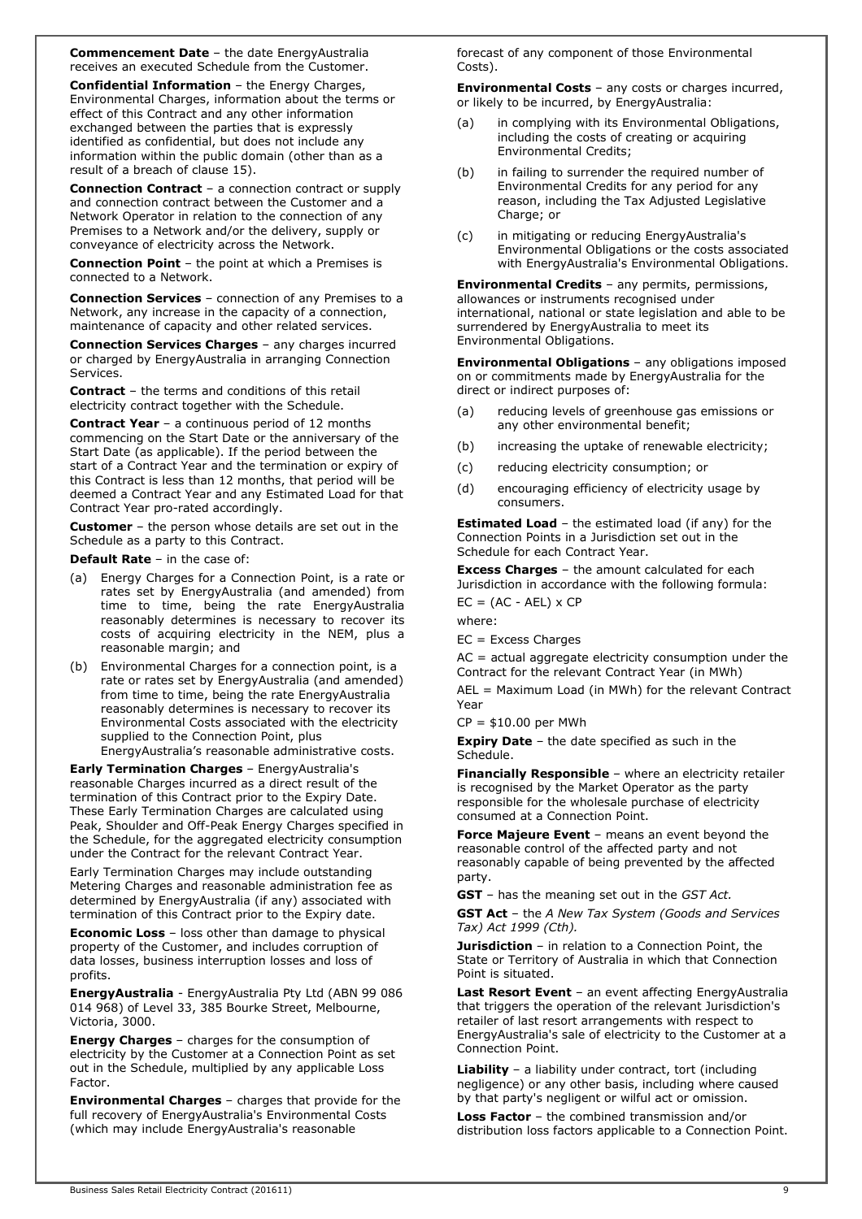Commencement Date – the date EnergyAustralia receives an executed Schedule from the Customer.

Confidential Information – the Energy Charges, Environmental Charges, information about the terms or effect of this Contract and any other information exchanged between the parties that is expressly identified as confidential, but does not include any information within the public domain (other than as a result of a breach of clause 15).

Connection Contract – a connection contract or supply and connection contract between the Customer and a Network Operator in relation to the connection of any Premises to a Network and/or the delivery, supply or conveyance of electricity across the Network.

Connection Point – the point at which a Premises is connected to a Network.

Connection Services – connection of any Premises to a Network, any increase in the capacity of a connection, maintenance of capacity and other related services.

Connection Services Charges – any charges incurred or charged by EnergyAustralia in arranging Connection Services.

Contract – the terms and conditions of this retail electricity contract together with the Schedule.

Contract Year – a continuous period of 12 months commencing on the Start Date or the anniversary of the Start Date (as applicable). If the period between the start of a Contract Year and the termination or expiry of this Contract is less than 12 months, that period will be deemed a Contract Year and any Estimated Load for that Contract Year pro-rated accordingly.

**Customer** - the person whose details are set out in the Schedule as a party to this Contract.

Default Rate – in the case of:

- (a) Energy Charges for a Connection Point, is a rate or rates set by EnergyAustralia (and amended) from time to time, being the rate EnergyAustralia reasonably determines is necessary to recover its costs of acquiring electricity in the NEM, plus a reasonable margin; and
- (b) Environmental Charges for a connection point, is a rate or rates set by EnergyAustralia (and amended) from time to time, being the rate EnergyAustralia reasonably determines is necessary to recover its Environmental Costs associated with the electricity supplied to the Connection Point, plus EnergyAustralia's reasonable administrative costs.

Early Termination Charges – EnergyAustralia's reasonable Charges incurred as a direct result of the termination of this Contract prior to the Expiry Date. These Early Termination Charges are calculated using Peak, Shoulder and Off-Peak Energy Charges specified in the Schedule, for the aggregated electricity consumption under the Contract for the relevant Contract Year.

Early Termination Charges may include outstanding Metering Charges and reasonable administration fee as determined by EnergyAustralia (if any) associated with termination of this Contract prior to the Expiry date.

Economic Loss – loss other than damage to physical property of the Customer, and includes corruption of data losses, business interruption losses and loss of profits.

EnergyAustralia - EnergyAustralia Pty Ltd (ABN 99 086 014 968) of Level 33, 385 Bourke Street, Melbourne, Victoria, 3000.

Energy Charges – charges for the consumption of electricity by the Customer at a Connection Point as set out in the Schedule, multiplied by any applicable Loss Factor.

Environmental Charges – charges that provide for the full recovery of EnergyAustralia's Environmental Costs (which may include EnergyAustralia's reasonable

forecast of any component of those Environmental Costs).

Environmental Costs – any costs or charges incurred, or likely to be incurred, by EnergyAustralia:

- in complying with its Environmental Obligations, including the costs of creating or acquiring Environmental Credits;
- (b) in failing to surrender the required number of Environmental Credits for any period for any reason, including the Tax Adjusted Legislative Charge; or
- (c) in mitigating or reducing EnergyAustralia's Environmental Obligations or the costs associated with EnergyAustralia's Environmental Obligations.

Environmental Credits – any permits, permissions, allowances or instruments recognised under international, national or state legislation and able to be surrendered by EnergyAustralia to meet its Environmental Obligations.

Environmental Obligations – any obligations imposed on or commitments made by EnergyAustralia for the direct or indirect purposes of:

- (a) reducing levels of greenhouse gas emissions or any other environmental benefit;
- (b) increasing the uptake of renewable electricity;
- (c) reducing electricity consumption; or
- (d) encouraging efficiency of electricity usage by consumers.

**Estimated Load** – the estimated load (if any) for the Connection Points in a Jurisdiction set out in the Schedule for each Contract Year.

Excess Charges – the amount calculated for each Jurisdiction in accordance with the following formula:

 $EC = (AC - AEL) \times CP$ 

where:

EC = Excess Charges

AC = actual aggregate electricity consumption under the Contract for the relevant Contract Year (in MWh)

AEL = Maximum Load (in MWh) for the relevant Contract Year

 $CP = $10.00$  per MWh

**Expiry Date** - the date specified as such in the Schedule.

Financially Responsible - where an electricity retailer is recognised by the Market Operator as the party responsible for the wholesale purchase of electricity consumed at a Connection Point.

Force Majeure Event - means an event beyond the reasonable control of the affected party and not reasonably capable of being prevented by the affected party.

GST - has the meaning set out in the GST Act.

GST Act - the A New Tax System (Goods and Services Tax) Act 1999 (Cth).

Jurisdiction - in relation to a Connection Point, the State or Territory of Australia in which that Connection Point is situated.

Last Resort Event – an event affecting EnergyAustralia that triggers the operation of the relevant Jurisdiction's retailer of last resort arrangements with respect to EnergyAustralia's sale of electricity to the Customer at a Connection Point.

Liability - a liability under contract, tort (including negligence) or any other basis, including where caused by that party's negligent or wilful act or omission.

Loss Factor - the combined transmission and/or distribution loss factors applicable to a Connection Point.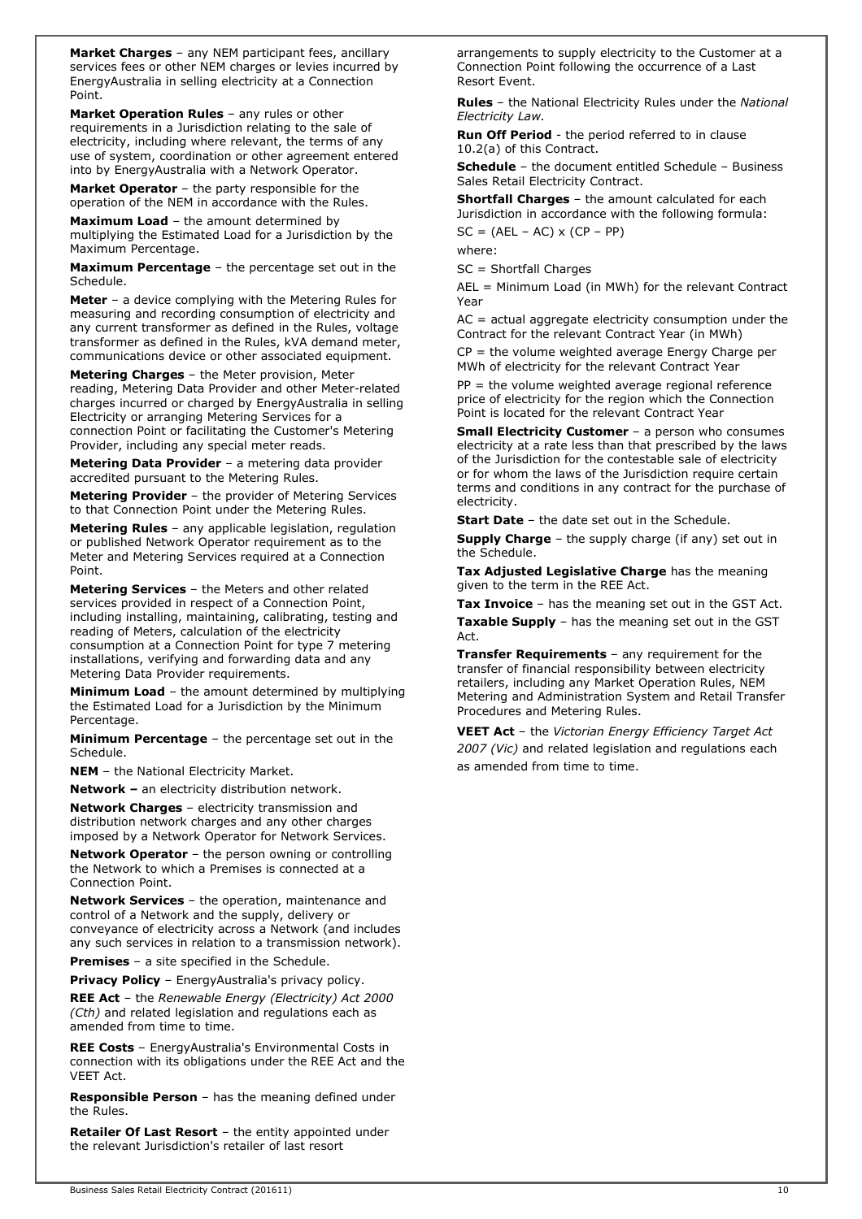Market Charges - any NEM participant fees, ancillary services fees or other NEM charges or levies incurred by EnergyAustralia in selling electricity at a Connection Point.

Market Operation Rules - any rules or other requirements in a Jurisdiction relating to the sale of electricity, including where relevant, the terms of any use of system, coordination or other agreement entered into by EnergyAustralia with a Network Operator.

Market Operator - the party responsible for the operation of the NEM in accordance with the Rules.

**Maximum Load - the amount determined by** multiplying the Estimated Load for a Jurisdiction by the Maximum Percentage.

Maximum Percentage - the percentage set out in the Schedule.

Meter - a device complying with the Metering Rules for measuring and recording consumption of electricity and any current transformer as defined in the Rules, voltage transformer as defined in the Rules, kVA demand meter, communications device or other associated equipment.

Metering Charges – the Meter provision, Meter reading, Metering Data Provider and other Meter-related charges incurred or charged by EnergyAustralia in selling Electricity or arranging Metering Services for a connection Point or facilitating the Customer's Metering Provider, including any special meter reads.

Metering Data Provider - a metering data provider accredited pursuant to the Metering Rules.

Metering Provider – the provider of Metering Services to that Connection Point under the Metering Rules.

Metering Rules - any applicable legislation, regulation or published Network Operator requirement as to the Meter and Metering Services required at a Connection Point.

Metering Services – the Meters and other related services provided in respect of a Connection Point, including installing, maintaining, calibrating, testing and reading of Meters, calculation of the electricity consumption at a Connection Point for type 7 metering installations, verifying and forwarding data and any Metering Data Provider requirements.

Minimum Load – the amount determined by multiplying the Estimated Load for a Jurisdiction by the Minimum Percentage.

**Minimum Percentage** – the percentage set out in the Schedule.

**NEM** – the National Electricity Market.

Network – an electricity distribution network.

Network Charges – electricity transmission and distribution network charges and any other charges imposed by a Network Operator for Network Services.

Network Operator – the person owning or controlling the Network to which a Premises is connected at a Connection Point.

Network Services - the operation, maintenance and control of a Network and the supply, delivery or conveyance of electricity across a Network (and includes any such services in relation to a transmission network).

**Premises** - a site specified in the Schedule.

Privacy Policy - EnergyAustralia's privacy policy.

REE Act - the Renewable Energy (Electricity) Act 2000 (Cth) and related legislation and regulations each as amended from time to time.

REE Costs – EnergyAustralia's Environmental Costs in connection with its obligations under the REE Act and the VEET Act.

Responsible Person – has the meaning defined under the Rules.

Retailer Of Last Resort - the entity appointed under the relevant Jurisdiction's retailer of last resort

arrangements to supply electricity to the Customer at a Connection Point following the occurrence of a Last Resort Event.

Rules - the National Electricity Rules under the National Electricity Law.

Run Off Period - the period referred to in clause 10.2(a) of this Contract.

**Schedule** - the document entitled Schedule - Business Sales Retail Electricity Contract.

Shortfall Charges - the amount calculated for each Jurisdiction in accordance with the following formula:

 $SC = (AEL - AC) \times (CP - PP)$ 

where:

SC = Shortfall Charges

AEL = Minimum Load (in MWh) for the relevant Contract Year

AC = actual aggregate electricity consumption under the Contract for the relevant Contract Year (in MWh)

 $CP =$  the volume weighted average Energy Charge per MWh of electricity for the relevant Contract Year

 $PP =$  the volume weighted average regional reference price of electricity for the region which the Connection Point is located for the relevant Contract Year

**Small Electricity Customer** - a person who consumes electricity at a rate less than that prescribed by the laws of the Jurisdiction for the contestable sale of electricity or for whom the laws of the Jurisdiction require certain terms and conditions in any contract for the purchase of electricity.

**Start Date** - the date set out in the Schedule.

Supply Charge - the supply charge (if any) set out in the Schedule.

Tax Adjusted Legislative Charge has the meaning given to the term in the REE Act.

**Tax Invoice** – has the meaning set out in the GST Act.

Taxable Supply - has the meaning set out in the GST Act.

**Transfer Requirements** - any requirement for the transfer of financial responsibility between electricity retailers, including any Market Operation Rules, NEM Metering and Administration System and Retail Transfer Procedures and Metering Rules.

**VEET Act** - the Victorian Energy Efficiency Target Act 2007 (Vic) and related legislation and regulations each as amended from time to time.